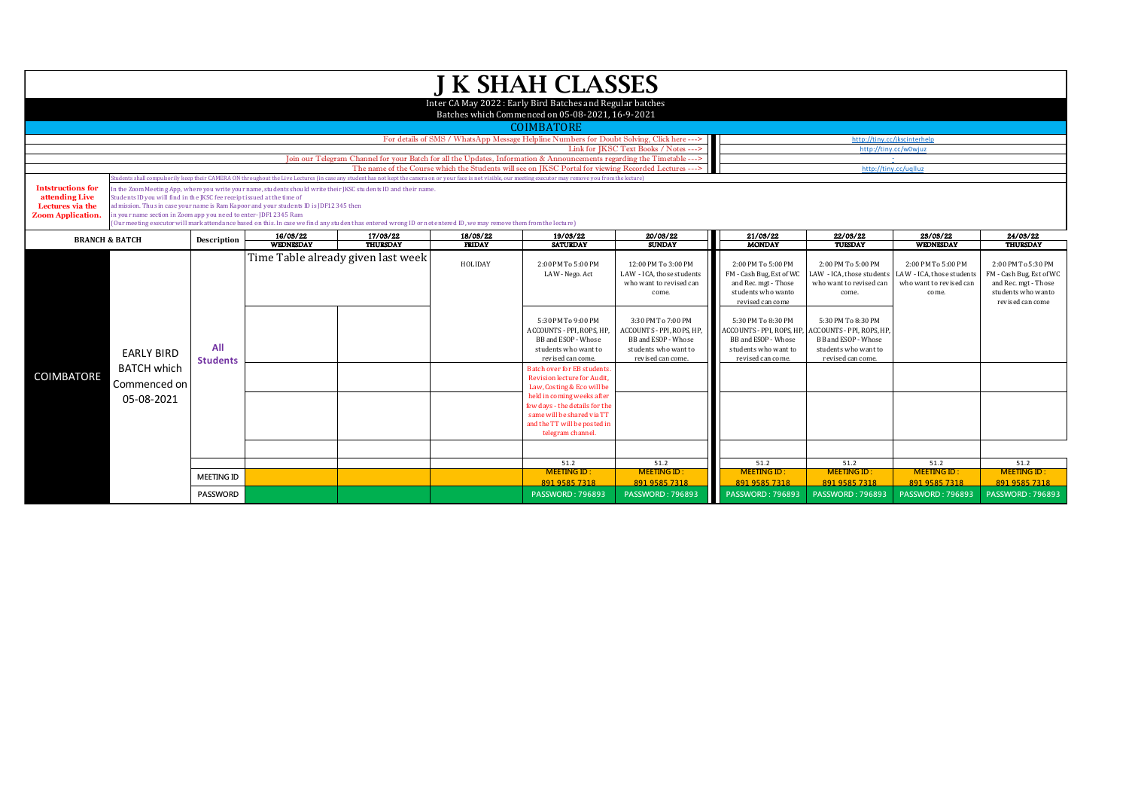| <b>J K SHAH CLASSES</b>                                                                                       |                                                                                                                                                                                                                                                                                                                                                                                                                                                                                                                           |                                                              |                              |                                                                                                                                                                                                                 |                              |                                                                                                                                                                                                                                                          |                                                                                                                     |                                                                                                                     |                                                                                                                          |                                                                                     |                                                                                                                  |  |  |  |
|---------------------------------------------------------------------------------------------------------------|---------------------------------------------------------------------------------------------------------------------------------------------------------------------------------------------------------------------------------------------------------------------------------------------------------------------------------------------------------------------------------------------------------------------------------------------------------------------------------------------------------------------------|--------------------------------------------------------------|------------------------------|-----------------------------------------------------------------------------------------------------------------------------------------------------------------------------------------------------------------|------------------------------|----------------------------------------------------------------------------------------------------------------------------------------------------------------------------------------------------------------------------------------------------------|---------------------------------------------------------------------------------------------------------------------|---------------------------------------------------------------------------------------------------------------------|--------------------------------------------------------------------------------------------------------------------------|-------------------------------------------------------------------------------------|------------------------------------------------------------------------------------------------------------------|--|--|--|
| Inter CA May 2022: Early Bird Batches and Regular batches<br>Batches which Commenced on 05-08-2021, 16-9-2021 |                                                                                                                                                                                                                                                                                                                                                                                                                                                                                                                           |                                                              |                              |                                                                                                                                                                                                                 |                              |                                                                                                                                                                                                                                                          |                                                                                                                     |                                                                                                                     |                                                                                                                          |                                                                                     |                                                                                                                  |  |  |  |
| <b>COIMBATORE</b>                                                                                             |                                                                                                                                                                                                                                                                                                                                                                                                                                                                                                                           |                                                              |                              |                                                                                                                                                                                                                 |                              |                                                                                                                                                                                                                                                          |                                                                                                                     |                                                                                                                     |                                                                                                                          |                                                                                     |                                                                                                                  |  |  |  |
|                                                                                                               |                                                                                                                                                                                                                                                                                                                                                                                                                                                                                                                           |                                                              |                              | For details of SMS / WhatsApp Message Helpline Numbers for Doubt Solving, Click here --->                                                                                                                       | http://tiny.cc/jkscinterhelp |                                                                                                                                                                                                                                                          |                                                                                                                     |                                                                                                                     |                                                                                                                          |                                                                                     |                                                                                                                  |  |  |  |
|                                                                                                               |                                                                                                                                                                                                                                                                                                                                                                                                                                                                                                                           |                                                              |                              | http://tinv.cc/w0wiuz                                                                                                                                                                                           |                              |                                                                                                                                                                                                                                                          |                                                                                                                     |                                                                                                                     |                                                                                                                          |                                                                                     |                                                                                                                  |  |  |  |
|                                                                                                               | Join our Telegram Channel for your Batch for all the Updates, Information & Announcements regarding the Timetable ---><br>The name of the Course which the Students will see on IKSC Portal for viewing Recorded Lectures --->                                                                                                                                                                                                                                                                                            |                                                              |                              |                                                                                                                                                                                                                 |                              |                                                                                                                                                                                                                                                          |                                                                                                                     |                                                                                                                     |                                                                                                                          | http://tiny.cc/uqlluz                                                               |                                                                                                                  |  |  |  |
|                                                                                                               |                                                                                                                                                                                                                                                                                                                                                                                                                                                                                                                           |                                                              |                              | tudents shall compulsorily keep their CAMERA ON throughout the Live Lectures (in case any student has not kept the camera on or your face is not visible, our meeting executor may remove you from the lecture) |                              |                                                                                                                                                                                                                                                          |                                                                                                                     |                                                                                                                     |                                                                                                                          |                                                                                     |                                                                                                                  |  |  |  |
| <b>Intstructions for</b><br>attending Live<br>Lectures via the<br><b>Zoom Application</b>                     | n the Zoom Meeting App, where you write your name, students should write their JKSC students ID and their name.<br>tudents ID you will find in the JKSC fee receipt issued at the time of<br>dmission. Thus in case your name is Ram Kapoor and your students ID is JDF12345 then<br>n your name section in Zoom app you need to enter-JDF12345 Ram<br>(Our meeting executor will mark attendance based on this. In case we find any student has entered wrong ID or not entered ID, we may remove them from the lecture) |                                                              |                              |                                                                                                                                                                                                                 |                              |                                                                                                                                                                                                                                                          |                                                                                                                     |                                                                                                                     |                                                                                                                          |                                                                                     |                                                                                                                  |  |  |  |
|                                                                                                               | <b>BRANCH &amp; BATCH</b>                                                                                                                                                                                                                                                                                                                                                                                                                                                                                                 |                                                              | 16/03/22<br><b>WEDNESDAY</b> | 17/03/22<br><b>THURSDAY</b>                                                                                                                                                                                     | 18/03/22<br><b>FRIDAY</b>    | 19/03/22<br><b>SATURDAY</b>                                                                                                                                                                                                                              | 20/03/22<br><b>SUNDAY</b>                                                                                           | 21/03/22<br><b>MONDAY</b>                                                                                           | 22/03/22<br>TUESDAY                                                                                                      | 23/03/22<br>WEDNESDAY                                                               | 24/03/22<br><b>THURSDAY</b>                                                                                      |  |  |  |
|                                                                                                               | <b>EARLY BIRD</b><br><b>BATCH which</b><br>Commenced on<br>05-08-2021                                                                                                                                                                                                                                                                                                                                                                                                                                                     | Time Table already given last week<br>All<br><b>Students</b> |                              |                                                                                                                                                                                                                 | HOLIDAY                      | 2:00 PM To 5:00 PM<br>LAW - Nego. Act                                                                                                                                                                                                                    | 12:00 PM To 3:00 PM<br>LAW - ICA, those students<br>who want to revised can<br>come.                                | 2:00 PM To 5:00 PM<br>FM - Cash Bug, Est of WC<br>and Rec. mgt - Those<br>students who wanto<br>revised can come    | 2:00 PM To 5:00 PM<br>LAW - ICA, those students<br>who want to revised can<br>come.                                      | 2:00 PM To 5:00 PM<br>LAW - ICA, those students<br>who want to revised can<br>come. | 2:00 PM To 5:30 PM<br>FM - Cash Bug, Est of WC<br>and Rec. mgt - Those<br>students who wanto<br>revised can come |  |  |  |
| <b>COIMBATORE</b>                                                                                             |                                                                                                                                                                                                                                                                                                                                                                                                                                                                                                                           |                                                              |                              |                                                                                                                                                                                                                 |                              | 5:30 PM To 9:00 PM<br>ACCOUNTS - PPI, ROPS, HP,<br>BB and ESOP - Whose<br>students who want to<br>revised can come.                                                                                                                                      | 3:30 PM To 7:00 PM<br>ACCOUNTS - PPI, ROPS, HP,<br>BB and ESOP - Whose<br>students who want to<br>revised can come. | 5:30 PM To 8:30 PM<br>ACCOUNTS - PPI, ROPS, HP,<br>BB and ESOP - Whose<br>students who want to<br>revised can come. | 5:30 PM To 8:30 PM<br><b>ACCOUNTS - PPI, ROPS, HF</b><br>BB and ESOP - Whose<br>students who want to<br>revised can come |                                                                                     |                                                                                                                  |  |  |  |
|                                                                                                               |                                                                                                                                                                                                                                                                                                                                                                                                                                                                                                                           |                                                              |                              |                                                                                                                                                                                                                 |                              | <b>Batch over for EB students</b><br><b>Revision lecture for Audit.</b><br>Law, Costing & Eco will be<br>held in coming weeks after<br>few days - the details for the<br>same will be shared via TT<br>and the TT will be posted in<br>telegram channel. |                                                                                                                     |                                                                                                                     |                                                                                                                          |                                                                                     |                                                                                                                  |  |  |  |
|                                                                                                               |                                                                                                                                                                                                                                                                                                                                                                                                                                                                                                                           |                                                              |                              | 51.2                                                                                                                                                                                                            | 51.2                         | 51.2                                                                                                                                                                                                                                                     | 51.2                                                                                                                | 51.2                                                                                                                | 51.2                                                                                                                     |                                                                                     |                                                                                                                  |  |  |  |
|                                                                                                               |                                                                                                                                                                                                                                                                                                                                                                                                                                                                                                                           | <b>MEETING ID</b>                                            |                              |                                                                                                                                                                                                                 |                              | <b>MEETING ID:</b><br>891 9585 7318                                                                                                                                                                                                                      | <b>MEETING ID:</b><br>891 9585 7318                                                                                 | <b>MEETING ID:</b><br>891 9585 7318                                                                                 | <b>MEETING ID:</b><br>891 9585 7318                                                                                      | <b>MEETING ID:</b><br>891 9585 7318                                                 | <b>MEETING ID:</b><br>891 9585 7318                                                                              |  |  |  |
|                                                                                                               |                                                                                                                                                                                                                                                                                                                                                                                                                                                                                                                           | <b>PASSWORD</b>                                              |                              |                                                                                                                                                                                                                 |                              | <b>PASSWORD: 796893</b>                                                                                                                                                                                                                                  | <b>PASSWORD: 796893</b>                                                                                             | <b>PASSWORD: 796893</b>                                                                                             | <b>PASSWORD: 796893</b>                                                                                                  | <b>PASSWORD: 796893</b>                                                             | <b>PASSWORD: 796893</b>                                                                                          |  |  |  |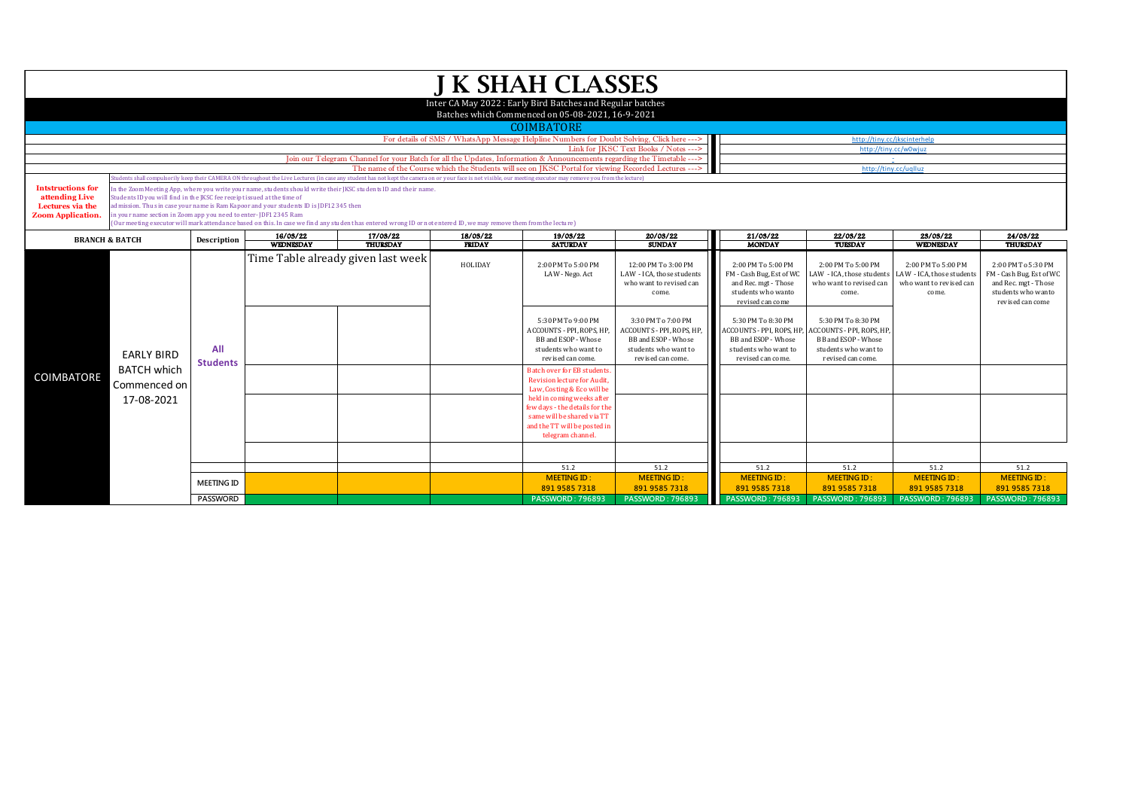| <b>J K SHAH CLASSES</b>                                                                                                                                                                                                        |                                                                                                                                                                                                                                                                                                                                                                                                                                                                                                                                                                                                                                                                                                                                               |                        |                              |                                    |                              |                                                                                                                                    |                                                                                                            |                                                                                                                                        |                                                                                                           |                                                                                     |                                                                                                                  |  |  |  |
|--------------------------------------------------------------------------------------------------------------------------------------------------------------------------------------------------------------------------------|-----------------------------------------------------------------------------------------------------------------------------------------------------------------------------------------------------------------------------------------------------------------------------------------------------------------------------------------------------------------------------------------------------------------------------------------------------------------------------------------------------------------------------------------------------------------------------------------------------------------------------------------------------------------------------------------------------------------------------------------------|------------------------|------------------------------|------------------------------------|------------------------------|------------------------------------------------------------------------------------------------------------------------------------|------------------------------------------------------------------------------------------------------------|----------------------------------------------------------------------------------------------------------------------------------------|-----------------------------------------------------------------------------------------------------------|-------------------------------------------------------------------------------------|------------------------------------------------------------------------------------------------------------------|--|--|--|
| Inter CA May 2022: Early Bird Batches and Regular batches<br>Batches which Commenced on 05-08-2021, 16-9-2021<br><b>COIMBATORE</b>                                                                                             |                                                                                                                                                                                                                                                                                                                                                                                                                                                                                                                                                                                                                                                                                                                                               |                        |                              |                                    |                              |                                                                                                                                    |                                                                                                            |                                                                                                                                        |                                                                                                           |                                                                                     |                                                                                                                  |  |  |  |
|                                                                                                                                                                                                                                |                                                                                                                                                                                                                                                                                                                                                                                                                                                                                                                                                                                                                                                                                                                                               |                        |                              |                                    | http://tinv.cc/ikscinterhelp |                                                                                                                                    |                                                                                                            |                                                                                                                                        |                                                                                                           |                                                                                     |                                                                                                                  |  |  |  |
|                                                                                                                                                                                                                                | For details of SMS / WhatsApp Message Helpline Numbers for Doubt Solving, Click here ---><br>Link for IKSC Text Books / Notes --->                                                                                                                                                                                                                                                                                                                                                                                                                                                                                                                                                                                                            |                        |                              |                                    |                              |                                                                                                                                    |                                                                                                            |                                                                                                                                        |                                                                                                           | http://tinv.cc/w0wiuz                                                               |                                                                                                                  |  |  |  |
| Join our Telegram Channel for your Batch for all the Updates, Information & Announcements regarding the Timetable ---><br>The name of the Course which the Students will see on JKSC Portal for viewing Recorded Lectures ---> |                                                                                                                                                                                                                                                                                                                                                                                                                                                                                                                                                                                                                                                                                                                                               |                        |                              |                                    |                              |                                                                                                                                    |                                                                                                            |                                                                                                                                        | $\sim$                                                                                                    |                                                                                     |                                                                                                                  |  |  |  |
|                                                                                                                                                                                                                                |                                                                                                                                                                                                                                                                                                                                                                                                                                                                                                                                                                                                                                                                                                                                               |                        |                              |                                    |                              |                                                                                                                                    |                                                                                                            | http://tiny.cc/uqlluz                                                                                                                  |                                                                                                           |                                                                                     |                                                                                                                  |  |  |  |
| <b>Intstructions for</b><br>attending Live<br>Lectures via the<br><b>Zoom Application</b>                                                                                                                                      | tudents shall compulsorily keep their CAMERA ON throughout the Live Lectures (in case any student has not kept the camera on or your face is not visible, our meeting executor may remove you from the lecture)<br>in the Zoom Meeting App, where you write your name, students should write their JKSC students ID and their name.<br>tudents ID you will find in the IKSC fee receipt issued at the time of<br>dmission. Thus in case your name is Ram Kapoor and your students ID is JDF12345 then<br>n your name section in Zoom app you need to enter-JDF12345 Ram<br>(Our meeting executor will mark attendance based on this. In case we find any student has entered wrong ID or not entered ID, we may remove them from the lecture) |                        |                              |                                    |                              |                                                                                                                                    |                                                                                                            |                                                                                                                                        |                                                                                                           |                                                                                     |                                                                                                                  |  |  |  |
| <b>BRANCH &amp; BATCH</b>                                                                                                                                                                                                      |                                                                                                                                                                                                                                                                                                                                                                                                                                                                                                                                                                                                                                                                                                                                               | Description            | 16/03/22<br><b>WEDNESDAY</b> | 17/03/22<br><b>THURSDAY</b>        | 18/03/22<br><b>FRIDAY</b>    | 19/03/22<br><b>SATURDAY</b>                                                                                                        | 20/03/22<br><b>SUNDAY</b>                                                                                  | 21/03/22<br><b>MONDAY</b>                                                                                                              | 22/03/22<br><b>TUESDAY</b>                                                                                | 23/03/22<br>WEDNESDAY                                                               | 24/03/22<br><b>THURSDAY</b>                                                                                      |  |  |  |
| <b>COIMBATORE</b>                                                                                                                                                                                                              | <b>EARLY BIRD</b><br><b>BATCH which</b><br>Commenced on<br>17-08-2021                                                                                                                                                                                                                                                                                                                                                                                                                                                                                                                                                                                                                                                                         |                        |                              | Time Table already given last week | HOLIDAY                      | 2:00 PM To 5:00 PM<br>LAW - Nego. Act<br>5:30 PM To 9:00 PM                                                                        | 12:00 PM To 3:00 PM<br>LAW - ICA, those students<br>who want to revised can<br>come.<br>3:30 PM To 7:00 PM | 2:00 PM To 5:00 PM<br>FM - Cash Bug, Est of WC<br>and Rec. mgt - Those<br>students who wanto<br>revised can come<br>5:30 PM To 8:30 PM | 2:00 PM To 5:00 PM<br>LAW - ICA, those students<br>who want to revised can<br>come.<br>5:30 PM To 8:30 PM | 2:00 PM To 5:00 PM<br>LAW - ICA, those students<br>who want to revised can<br>come. | 2:00 PM To 5:30 PM<br>FM - Cash Bug, Est of WC<br>and Rec. mgt - Those<br>students who wanto<br>revised can come |  |  |  |
|                                                                                                                                                                                                                                |                                                                                                                                                                                                                                                                                                                                                                                                                                                                                                                                                                                                                                                                                                                                               | All<br><b>Students</b> |                              |                                    |                              | ACCOUNTS - PPI. ROPS. HP.<br>BB and ESOP - Whose<br>students who want to<br>revised can come.<br><b>Batch over for EB students</b> | ACCOUNTS - PPI. ROPS. HP.<br><b>BB</b> and ESOP - Whose<br>students who want to<br>revised can come.       | <b>ACCOUNTS - PPL ROPS, HP.</b><br>BB and ESOP - Whose<br>students who want to<br>revised can come.                                    | <b>ACCOUNTS - PPI, ROPS, HP</b><br>BB and ESOP - Whose<br>students who want to<br>revised can come.       |                                                                                     |                                                                                                                  |  |  |  |
|                                                                                                                                                                                                                                |                                                                                                                                                                                                                                                                                                                                                                                                                                                                                                                                                                                                                                                                                                                                               |                        |                              |                                    |                              | Revision lecture for Audit.<br>Law, Costing & Eco will be<br>held in coming weeks after                                            |                                                                                                            |                                                                                                                                        |                                                                                                           |                                                                                     |                                                                                                                  |  |  |  |
|                                                                                                                                                                                                                                |                                                                                                                                                                                                                                                                                                                                                                                                                                                                                                                                                                                                                                                                                                                                               |                        |                              |                                    |                              | few days - the details for the<br>same will be shared via TT<br>and the TT will be posted in<br>telegram channel.                  |                                                                                                            |                                                                                                                                        |                                                                                                           |                                                                                     |                                                                                                                  |  |  |  |
|                                                                                                                                                                                                                                |                                                                                                                                                                                                                                                                                                                                                                                                                                                                                                                                                                                                                                                                                                                                               |                        |                              |                                    |                              |                                                                                                                                    |                                                                                                            |                                                                                                                                        |                                                                                                           |                                                                                     |                                                                                                                  |  |  |  |
|                                                                                                                                                                                                                                |                                                                                                                                                                                                                                                                                                                                                                                                                                                                                                                                                                                                                                                                                                                                               |                        |                              |                                    |                              | 51.2                                                                                                                               | 51.2                                                                                                       | 51.2                                                                                                                                   | 51.2                                                                                                      | 51.2                                                                                | 51.2                                                                                                             |  |  |  |
|                                                                                                                                                                                                                                |                                                                                                                                                                                                                                                                                                                                                                                                                                                                                                                                                                                                                                                                                                                                               | <b>MEETING ID</b>      |                              |                                    |                              | <b>MEETING ID:</b><br>891 9585 7318                                                                                                | <b>MEETING ID:</b><br>891 9585 7318                                                                        | <b>MEETING ID:</b><br>891 9585 7318                                                                                                    | <b>MEETING ID:</b><br>891 9585 7318                                                                       | <b>MEETING ID:</b><br>891 9585 7318                                                 | <b>MEETING ID:</b><br>891 9585 7318                                                                              |  |  |  |
|                                                                                                                                                                                                                                |                                                                                                                                                                                                                                                                                                                                                                                                                                                                                                                                                                                                                                                                                                                                               | <b>PASSWORD</b>        |                              |                                    |                              | <b>PASSWORD: 796893</b>                                                                                                            | <b>PASSWORD: 796893</b>                                                                                    | <b>PASSWORD: 796893</b>                                                                                                                | <b>PASSWORD: 796893</b>                                                                                   | <b>PASSWORD: 796893</b>                                                             | <b>PASSWORD: 796893</b>                                                                                          |  |  |  |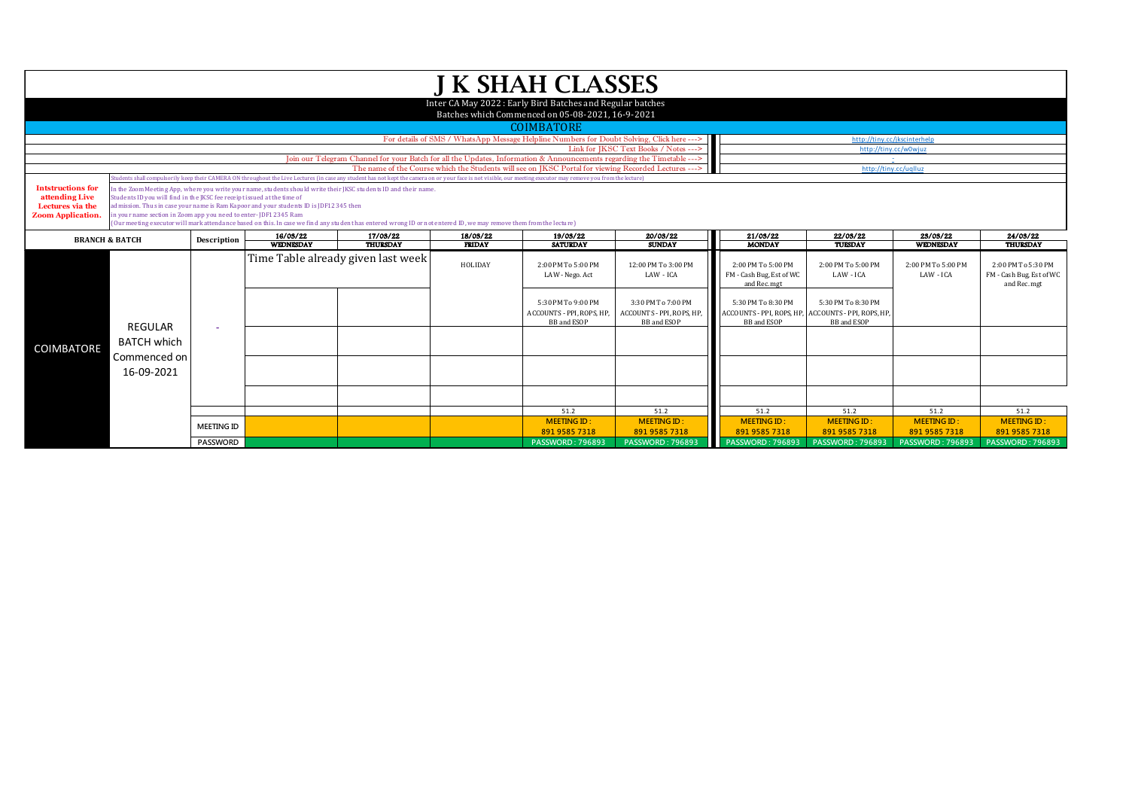| <b>J K SHAH CLASSES</b>                                                                                       |                                                                                                                                                                    |                   |                                                                                      |                                                                                                                                                                                                               |                           |                                                                                                      |                                                                       |                                                                                                |                                          |                                     |                                                                |  |
|---------------------------------------------------------------------------------------------------------------|--------------------------------------------------------------------------------------------------------------------------------------------------------------------|-------------------|--------------------------------------------------------------------------------------|---------------------------------------------------------------------------------------------------------------------------------------------------------------------------------------------------------------|---------------------------|------------------------------------------------------------------------------------------------------|-----------------------------------------------------------------------|------------------------------------------------------------------------------------------------|------------------------------------------|-------------------------------------|----------------------------------------------------------------|--|
| Inter CA May 2022: Early Bird Batches and Regular batches<br>Batches which Commenced on 05-08-2021, 16-9-2021 |                                                                                                                                                                    |                   |                                                                                      |                                                                                                                                                                                                               |                           |                                                                                                      |                                                                       |                                                                                                |                                          |                                     |                                                                |  |
|                                                                                                               | <b>COIMBATORE</b>                                                                                                                                                  |                   |                                                                                      |                                                                                                                                                                                                               |                           |                                                                                                      |                                                                       |                                                                                                |                                          |                                     |                                                                |  |
|                                                                                                               |                                                                                                                                                                    |                   |                                                                                      | http://tinv.cc/ikscinterhelp                                                                                                                                                                                  |                           |                                                                                                      |                                                                       |                                                                                                |                                          |                                     |                                                                |  |
|                                                                                                               |                                                                                                                                                                    |                   |                                                                                      | Link for IKSC Text Books / Notes --->                                                                                                                                                                         | http://tiny.cc/w0wjuz     |                                                                                                      |                                                                       |                                                                                                |                                          |                                     |                                                                |  |
|                                                                                                               |                                                                                                                                                                    |                   |                                                                                      | Join our Telegram Channel for your Batch for all the Updates, Information & Announcements regarding the Timetable --->                                                                                        |                           |                                                                                                      |                                                                       |                                                                                                |                                          |                                     |                                                                |  |
|                                                                                                               |                                                                                                                                                                    |                   |                                                                                      | dents shall compulsorily keep their CAMERA ON throughout the Live Lectures (in case any student has not kept the camera on or your face is not visible, our meeting executor may remove you from the lecture) |                           | The name of the Course which the Students will see on JKSC Portal for viewing Recorded Lectures ---> |                                                                       |                                                                                                | http://tiny.cc/uqlluz                    |                                     |                                                                |  |
| <b>Intstructions for</b>                                                                                      |                                                                                                                                                                    |                   |                                                                                      | n the Zoom Meeting App, where you write your name, students should write their JKSC students ID and their name.                                                                                               |                           |                                                                                                      |                                                                       |                                                                                                |                                          |                                     |                                                                |  |
| attending Live                                                                                                | Students ID you will find in the JKSC fee receipt issued at the time of                                                                                            |                   |                                                                                      |                                                                                                                                                                                                               |                           |                                                                                                      |                                                                       |                                                                                                |                                          |                                     |                                                                |  |
| Lectures via the                                                                                              |                                                                                                                                                                    |                   | dmission. Thus in case your name is Ram Kapoor and your students ID is JDF12345 then |                                                                                                                                                                                                               |                           |                                                                                                      |                                                                       |                                                                                                |                                          |                                     |                                                                |  |
| <b>Zoom Application.</b>                                                                                      | n your name section in Zoom app you need to enter-JDF12345 Ram                                                                                                     |                   |                                                                                      |                                                                                                                                                                                                               |                           |                                                                                                      |                                                                       |                                                                                                |                                          |                                     |                                                                |  |
|                                                                                                               | (Our meeting executor will mark attendance based on this. In case we find any student has entered wrong ID or not entered ID, we may remove them from the lecture) |                   |                                                                                      |                                                                                                                                                                                                               |                           |                                                                                                      |                                                                       |                                                                                                |                                          |                                     |                                                                |  |
|                                                                                                               | <b>BRANCH &amp; BATCH</b>                                                                                                                                          |                   | 16/03/22<br><b>WEDNESDAY</b>                                                         | 17/03/22<br><b>THURSDAY</b>                                                                                                                                                                                   | 18/03/22<br><b>FRIDAY</b> | 19/03/22<br><b>SATURDAY</b>                                                                          | 20/03/22<br><b>SUNDAY</b>                                             | 21/03/22<br><b>MONDAY</b>                                                                      | 22/03/22<br>TUESDAY                      | 23/03/22<br><b>WEDNESDAY</b>        | 24/03/22<br><b>THURSDAY</b>                                    |  |
|                                                                                                               |                                                                                                                                                                    |                   |                                                                                      | Time Table already given last week                                                                                                                                                                            | HOLIDAY                   | 2:00 PM To 5:00 PM<br>LAW - Nego. Act                                                                | 12:00 PM To 3:00 PM<br>LAW - ICA                                      | 2:00 PM To 5:00 PM<br>FM - Cash Bug, Est of WC<br>and Rec. mgt                                 | 2:00 PM To 5:00 PM<br>LAW - ICA          | 2:00 PM To 5:00 PM<br>LAW - ICA     | 2:00 PM To 5:30 PM<br>FM - Cash Bug, Est of WC<br>and Rec. mgt |  |
|                                                                                                               | <b>REGULAR</b>                                                                                                                                                     |                   |                                                                                      |                                                                                                                                                                                                               |                           | 5:30 PM To 9:00 PM<br>ACCOUNTS - PPI, ROPS, HP,<br><b>BB</b> and ESOP                                | 3:30 PM To 7:00 PM<br>ACCOUNTS - PPI, ROPS, HP,<br><b>BB</b> and ESOP | 5:30 PM To 8:30 PM<br>ACCOUNTS - PPI, ROPS, HP, ACCOUNTS - PPI, ROPS, HP<br><b>BB</b> and ESOP | 5:30 PM To 8:30 PM<br><b>BB</b> and ESOP |                                     |                                                                |  |
| <b>COIMBATORE</b>                                                                                             | <b>BATCH which</b><br>Commenced on                                                                                                                                 |                   |                                                                                      |                                                                                                                                                                                                               |                           |                                                                                                      |                                                                       |                                                                                                |                                          |                                     |                                                                |  |
|                                                                                                               | 16-09-2021                                                                                                                                                         |                   |                                                                                      |                                                                                                                                                                                                               |                           |                                                                                                      |                                                                       |                                                                                                |                                          |                                     |                                                                |  |
|                                                                                                               |                                                                                                                                                                    |                   |                                                                                      |                                                                                                                                                                                                               |                           |                                                                                                      |                                                                       |                                                                                                |                                          |                                     |                                                                |  |
|                                                                                                               |                                                                                                                                                                    |                   |                                                                                      |                                                                                                                                                                                                               |                           | 51.2                                                                                                 | 51.2                                                                  | 51.2                                                                                           | 51.2                                     | 51.2                                | 51.2                                                           |  |
|                                                                                                               |                                                                                                                                                                    | <b>MEETING ID</b> |                                                                                      |                                                                                                                                                                                                               |                           | <b>MEETING ID:</b><br>891 9585 7318                                                                  | <b>MEETING ID:</b><br>891 9585 7318                                   | <b>MEETING ID:</b><br>891 9585 7318                                                            | <b>MEETING ID:</b><br>891 9585 7318      | <b>MEETING ID:</b><br>891 9585 7318 | <b>MEETING ID:</b><br>891 9585 7318                            |  |
|                                                                                                               |                                                                                                                                                                    | PASSWORD          |                                                                                      |                                                                                                                                                                                                               |                           | <b>PASSWORD: 796893</b>                                                                              | <b>PASSWORD: 796893</b>                                               | <b>PASSWORD: 796893</b>                                                                        | <b>PASSWORD: 796893</b>                  | <b>PASSWORD: 796893</b>             | <b>PASSWORD: 796893</b>                                        |  |